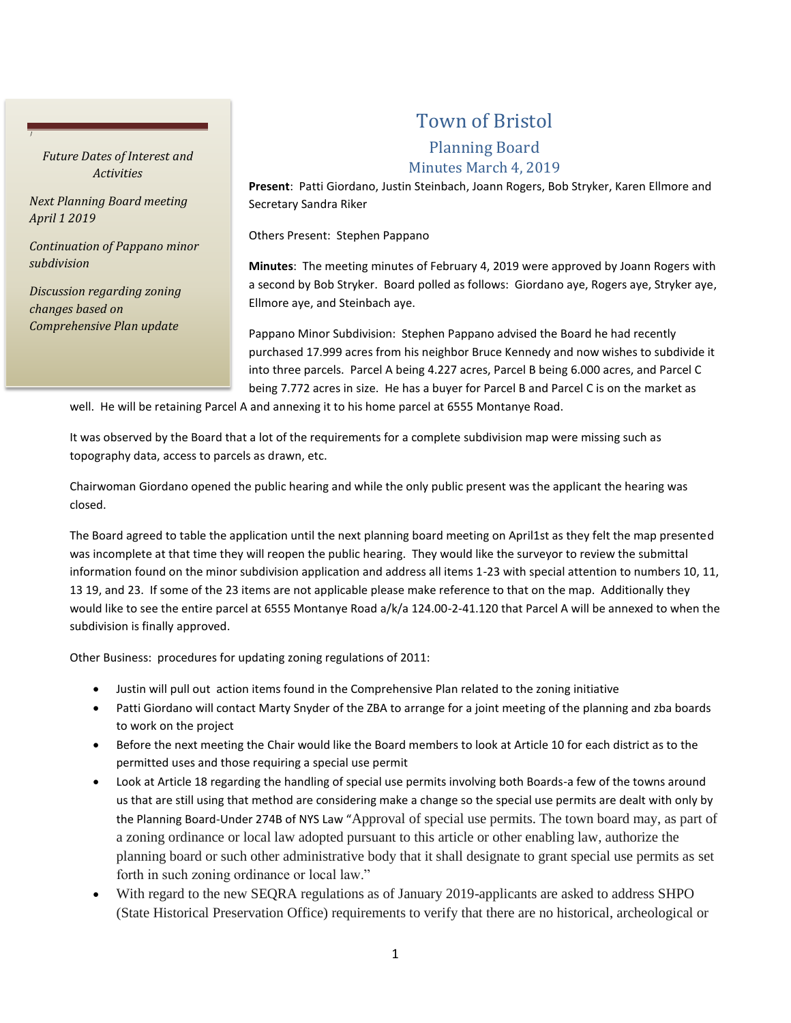## *Future Dates of Interest and Activities*

*Next Planning Board meeting April 1 2019*

*J*

*Continuation of Pappano minor subdivision*

*Discussion regarding zoning changes based on Comprehensive Plan update*

## Town of Bristol

## Planning Board

## Minutes March 4, 2019

**Present**: Patti Giordano, Justin Steinbach, Joann Rogers, Bob Stryker, Karen Ellmore and Secretary Sandra Riker

Others Present: Stephen Pappano

**Minutes**: The meeting minutes of February 4, 2019 were approved by Joann Rogers with a second by Bob Stryker. Board polled as follows: Giordano aye, Rogers aye, Stryker aye, Ellmore aye, and Steinbach aye.

Pappano Minor Subdivision: Stephen Pappano advised the Board he had recently purchased 17.999 acres from his neighbor Bruce Kennedy and now wishes to subdivide it into three parcels. Parcel A being 4.227 acres, Parcel B being 6.000 acres, and Parcel C being 7.772 acres in size. He has a buyer for Parcel B and Parcel C is on the market as

well. He will be retaining Parcel A and annexing it to his home parcel at 6555 Montanye Road.

It was observed by the Board that a lot of the requirements for a complete subdivision map were missing such as topography data, access to parcels as drawn, etc.

Chairwoman Giordano opened the public hearing and while the only public present was the applicant the hearing was closed.

The Board agreed to table the application until the next planning board meeting on April1st as they felt the map presented was incomplete at that time they will reopen the public hearing. They would like the surveyor to review the submittal information found on the minor subdivision application and address all items 1-23 with special attention to numbers 10, 11, 13 19, and 23. If some of the 23 items are not applicable please make reference to that on the map. Additionally they would like to see the entire parcel at 6555 Montanye Road a/k/a 124.00-2-41.120 that Parcel A will be annexed to when the subdivision is finally approved.

Other Business: procedures for updating zoning regulations of 2011:

- Justin will pull out action items found in the Comprehensive Plan related to the zoning initiative
- Patti Giordano will contact Marty Snyder of the ZBA to arrange for a joint meeting of the planning and zba boards to work on the project
- Before the next meeting the Chair would like the Board members to look at Article 10 for each district as to the permitted uses and those requiring a special use permit
- Look at Article 18 regarding the handling of special use permits involving both Boards-a few of the towns around us that are still using that method are considering make a change so the special use permits are dealt with only by the Planning Board-Under 274B of NYS Law "Approval of special use permits. The town board may, as part of a zoning ordinance or local law adopted pursuant to this article or other enabling law, authorize the planning board or such other administrative body that it shall designate to grant special use permits as set forth in such zoning ordinance or local law."
- With regard to the new SEQRA regulations as of January 2019-applicants are asked to address SHPO (State Historical Preservation Office) requirements to verify that there are no historical, archeological or